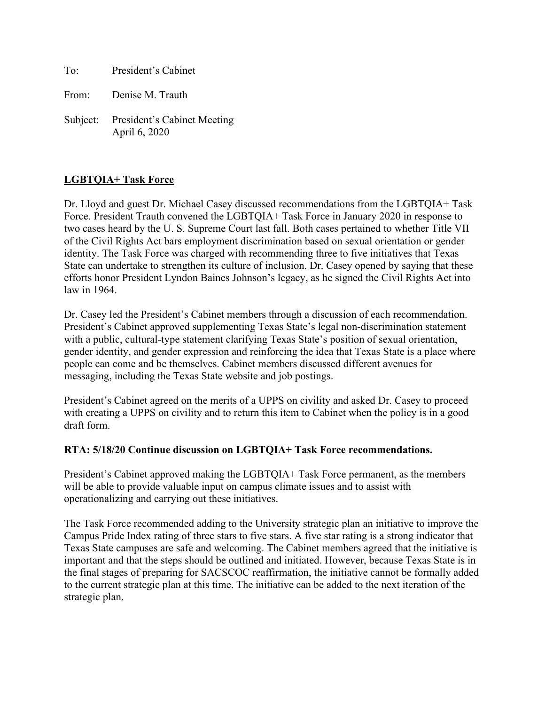To: President's Cabinet

From: Denise M. Trauth

Subject: President's Cabinet Meeting April 6, 2020

# **LGBTQIA+ Task Force**

Dr. Lloyd and guest Dr. Michael Casey discussed recommendations from the LGBTQIA+ Task Force. President Trauth convened the LGBTQIA+ Task Force in January 2020 in response to two cases heard by the U. S. Supreme Court last fall. Both cases pertained to whether Title VII of the Civil Rights Act bars employment discrimination based on sexual orientation or gender identity. The Task Force was charged with recommending three to five initiatives that Texas State can undertake to strengthen its culture of inclusion. Dr. Casey opened by saying that these efforts honor President Lyndon Baines Johnson's legacy, as he signed the Civil Rights Act into law in 1964.

Dr. Casey led the President's Cabinet members through a discussion of each recommendation. President's Cabinet approved supplementing Texas State's legal non-discrimination statement with a public, cultural-type statement clarifying Texas State's position of sexual orientation, gender identity, and gender expression and reinforcing the idea that Texas State is a place where people can come and be themselves. Cabinet members discussed different avenues for messaging, including the Texas State website and job postings.

President's Cabinet agreed on the merits of a UPPS on civility and asked Dr. Casey to proceed with creating a UPPS on civility and to return this item to Cabinet when the policy is in a good draft form.

#### **RTA: 5/18/20 Continue discussion on LGBTQIA+ Task Force recommendations.**

President's Cabinet approved making the LGBTQIA+ Task Force permanent, as the members will be able to provide valuable input on campus climate issues and to assist with operationalizing and carrying out these initiatives.

The Task Force recommended adding to the University strategic plan an initiative to improve the Campus Pride Index rating of three stars to five stars. A five star rating is a strong indicator that Texas State campuses are safe and welcoming. The Cabinet members agreed that the initiative is important and that the steps should be outlined and initiated. However, because Texas State is in the final stages of preparing for SACSCOC reaffirmation, the initiative cannot be formally added to the current strategic plan at this time. The initiative can be added to the next iteration of the strategic plan.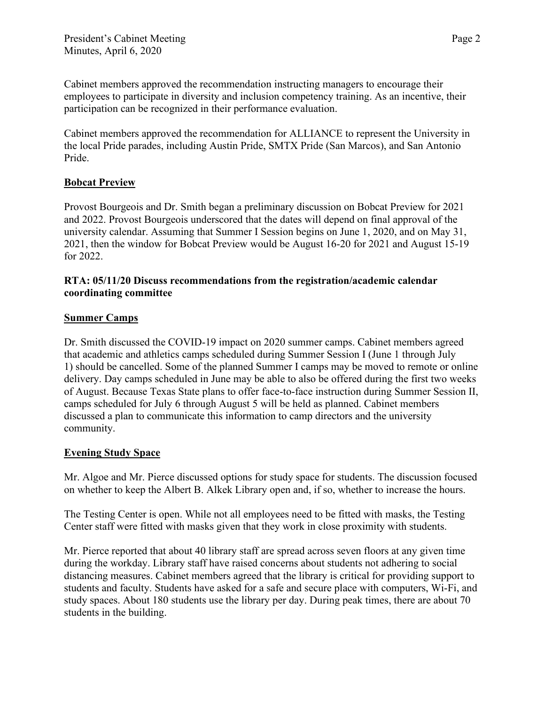Cabinet members approved the recommendation instructing managers to encourage their employees to participate in diversity and inclusion competency training. As an incentive, their participation can be recognized in their performance evaluation.

Cabinet members approved the recommendation for ALLIANCE to represent the University in the local Pride parades, including Austin Pride, SMTX Pride (San Marcos), and San Antonio Pride.

## **Bobcat Preview**

Provost Bourgeois and Dr. Smith began a preliminary discussion on Bobcat Preview for 2021 and 2022. Provost Bourgeois underscored that the dates will depend on final approval of the university calendar. Assuming that Summer I Session begins on June 1, 2020, and on May 31, 2021, then the window for Bobcat Preview would be August 16-20 for 2021 and August 15-19 for 2022.

### **RTA: 05/11/20 Discuss recommendations from the registration/academic calendar coordinating committee**

## **Summer Camps**

Dr. Smith discussed the COVID-19 impact on 2020 summer camps. Cabinet members agreed that academic and athletics camps scheduled during Summer Session I (June 1 through July 1) should be cancelled. Some of the planned Summer I camps may be moved to remote or online delivery. Day camps scheduled in June may be able to also be offered during the first two weeks of August. Because Texas State plans to offer face-to-face instruction during Summer Session II, camps scheduled for July 6 through August 5 will be held as planned. Cabinet members discussed a plan to communicate this information to camp directors and the university community.

## **Evening Study Space**

Mr. Algoe and Mr. Pierce discussed options for study space for students. The discussion focused on whether to keep the Albert B. Alkek Library open and, if so, whether to increase the hours.

The Testing Center is open. While not all employees need to be fitted with masks, the Testing Center staff were fitted with masks given that they work in close proximity with students.

Mr. Pierce reported that about 40 library staff are spread across seven floors at any given time during the workday. Library staff have raised concerns about students not adhering to social distancing measures. Cabinet members agreed that the library is critical for providing support to students and faculty. Students have asked for a safe and secure place with computers, Wi-Fi, and study spaces. About 180 students use the library per day. During peak times, there are about 70 students in the building.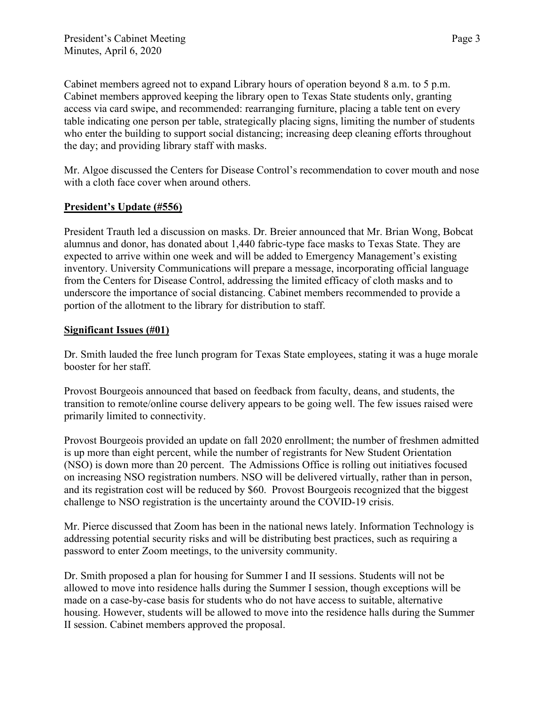Cabinet members agreed not to expand Library hours of operation beyond 8 a.m. to 5 p.m. Cabinet members approved keeping the library open to Texas State students only, granting access via card swipe, and recommended: rearranging furniture, placing a table tent on every table indicating one person per table, strategically placing signs, limiting the number of students who enter the building to support social distancing; increasing deep cleaning efforts throughout the day; and providing library staff with masks.

Mr. Algoe discussed the Centers for Disease Control's recommendation to cover mouth and nose with a cloth face cover when around others.

## **President's Update (#556)**

President Trauth led a discussion on masks. Dr. Breier announced that Mr. Brian Wong, Bobcat alumnus and donor, has donated about 1,440 fabric-type face masks to Texas State. They are expected to arrive within one week and will be added to Emergency Management's existing inventory. University Communications will prepare a message, incorporating official language from the Centers for Disease Control, addressing the limited efficacy of cloth masks and to underscore the importance of social distancing. Cabinet members recommended to provide a portion of the allotment to the library for distribution to staff.

#### **Significant Issues (#01)**

Dr. Smith lauded the free lunch program for Texas State employees, stating it was a huge morale booster for her staff.

Provost Bourgeois announced that based on feedback from faculty, deans, and students, the transition to remote/online course delivery appears to be going well. The few issues raised were primarily limited to connectivity.

Provost Bourgeois provided an update on fall 2020 enrollment; the number of freshmen admitted is up more than eight percent, while the number of registrants for New Student Orientation (NSO) is down more than 20 percent. The Admissions Office is rolling out initiatives focused on increasing NSO registration numbers. NSO will be delivered virtually, rather than in person, and its registration cost will be reduced by \$60. Provost Bourgeois recognized that the biggest challenge to NSO registration is the uncertainty around the COVID-19 crisis.

Mr. Pierce discussed that Zoom has been in the national news lately. Information Technology is addressing potential security risks and will be distributing best practices, such as requiring a password to enter Zoom meetings, to the university community.

Dr. Smith proposed a plan for housing for Summer I and II sessions. Students will not be allowed to move into residence halls during the Summer I session, though exceptions will be made on a case-by-case basis for students who do not have access to suitable, alternative housing. However, students will be allowed to move into the residence halls during the Summer II session. Cabinet members approved the proposal.